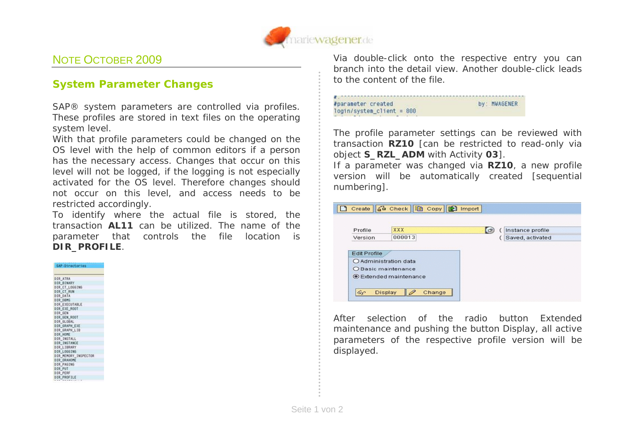

## NOTE OCTOBER 2009

## **System Parameter Changes**

SAP® system parameters are controlled via profiles. These profiles are stored in text files on the operating system level.

With that profile parameters could be changed on the OS level with the help of common editors if a person has the necessary access. Changes that occur on this level will not be logged, if the logging is not especially activated for the OS level. Therefore changes should not occur on this level, and access needs to be restricted accordingly.

To identify where the actual file is stored, the transaction **AL11** can be utilized. The name of the parameter that controls the file location is **DIR\_PROFILE**.

SAP-Directories DIR\_ATRA<br>DIR\_BINARY<br>DIR\_CT\_LOGGING<br>DIR\_CT\_RUN DIR DATA DIR DRMS DIR EXECUTABLE DIR EXE ROOT DIR\_GEN DIR\_GEN\_ROOT DIR\_GLOBAL<br>DIR\_GRAPH\_EXE<br>DIR\_GRAPH\_LIB<br>DIR\_HOME DIR INSTALL DIR\_INSTANCE DIR LIBRARY DIR LOGGING DIR\_MEMORY\_INSPECTOR DIR ORAHOME DIR PAGING DIR PUT DIR PERF DIR\_PROFILE

Via double-click onto the respective entry you can branch into the detail view. Another double-click leads to the content of the file.



The profile parameter settings can be reviewed with transaction **RZ10** [can be restricted to read-only via object **S\_RZL\_ADM** with Activity **03**].

If a parameter was changed via **RZ10**, a new profile version will be automatically created [sequential numbering].



After selection of the radio button *Extended maintenance* and pushing the button *Display,* all active parameters of the respective profile version will be displayed.